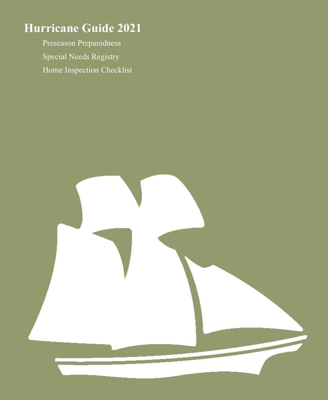# **Hurricane Guide 2021**

Preseason Preparedness Special Needs Registry Home Inspection Checklist

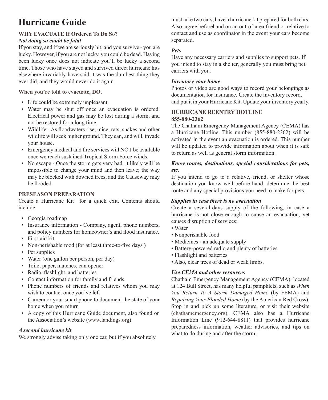## **Hurricane Guide**

## **WHY EVACUATE If Ordered To Do So?** *Not doing so could be fatal*

If you stay, and if we are seriously hit, and you survive - you are lucky. However, if you are not lucky, you could be dead. Having been lucky once does not indicate you'll be lucky a second time. Those who have stayed and survived direct hurricane hits elsewhere invariably have said it was the dumbest thing they ever did, and they would never do it again.

## **When you're told to evacuate, DO.**

- Life could be extremely unpleasant.
- Water may be shut off once an evacuation is ordered. Electrical power and gas may be lost during a storm, and not be restored for a long time.
- Wildlife As floodwaters rise, mice, rats, snakes and other wildlife will seek higher ground. They can, and will, invade your house.
- Emergency medical and fire services will NOT be available once we reach sustained Tropical Storm Force winds.
- No escape Once the storm gets very bad, it likely will be impossible to change your mind and then leave; the way may be blocked with downed trees, and the Causeway may be flooded.

## **PRESEASON PREPARATION**

Create a Hurricane Kit for a quick exit. Contents should include:

- Georgia roadmap
- Insurance information Company, agent, phone numbers, and policy numbers for homeowner's and flood insurance.
- First-aid kit
- Non-perishable food (for at least three-to-five days)
- Pet supplies
- Water (one gallon per person, per day)
- Toilet paper, matches, can opener
- Radio, flashlight, and batteries
- Contact information for family and friends.
- Phone numbers of friends and relatives whom you may wish to contact once you've left
- Camera or your smart phone to document the state of your home when you return
- A copy of this Hurricane Guide document, also found on the Association's website (www.landings.org)

### *A second hurricane kit*

We strongly advise taking only one car, but if you absolutely

must take two cars, have a hurricane kit prepared for both cars. Also, agree beforehand on an out-of-area friend or relative to contact and use as coordinator in the event your cars become separated.

## *Pets*

Have any necessary carriers and supplies to support pets. If you intend to stay in a shelter, generally you must bring pet carriers with you.

## *Inventory your home*

Photos or video are good ways to record your belongings as documentation for insurance. Create the inventory record, and put it in your Hurricane Kit. Update your inventory yearly.

#### **HURRICANE REENTRY HOTLINE 855-880-2362**

The Chatham Emergency Management Agency (CEMA) has a Hurricane Hotline. This number (855-880-2362) will be activated in the event an evacuation is ordered. This number will be updated to provide information about when it is safe to return as well as general storm information.

#### *Know routes, destinations, special considerations for pets, etc.*

If you intend to go to a relative, friend, or shelter whose destination you know well before hand, determine the best route and any special provisions you need to make for pets.

#### *Supplies in case there is no evacuation*

Create a several-days supply of the following, in case a hurricane is not close enough to cause an evacuation, yet causes disruption of services:

- Water
- Nonperishable food
- Medicines an adequate supply
- Battery-powered radio and plenty of batteries
- Flashlight and batteries
- Also, clear trees of dead or weak limbs.

## *Use CEMA and other resources*

Chatham Emergency Management Agency (CEMA), located at 124 Bull Street, has many helpful pamphlets, such as *When You Return To A Storm Damaged Home* (by FEMA) and *Repairing Your Flooded Home* (by the American Red Cross). Stop in and pick up some literature, or visit their website (chathamemergency.org). CEMA also has a Hurricane Information Line (912-644-8811) that provides hurricane preparedness information, weather advisories, and tips on what to do during and after the storm.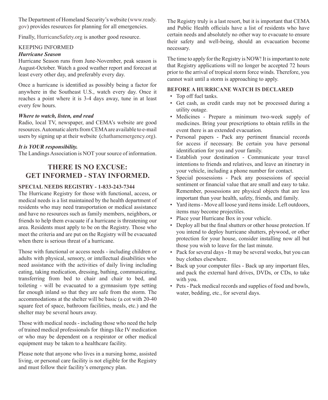The Department of Homeland Security's website (www.ready. gov) provides resources for planning for all emergencies.

Finally, HurricaneSafety.org is another good resource.

#### KEEPING INFORMED

#### *Hurricane Season*

Hurricane Season runs from June-November, peak season is August-October. Watch a good weather report and forecast at least every other day, and preferably every day.

Once a hurricane is identified as possibly being a factor for anywhere in the Southeast U.S., watch every day. Once it reaches a point where it is 3-4 days away, tune in at least every few hours.

#### *Where to watch, listen, and read*

Radio, local TV, newspaper, and CEMA's website are good resources. Automatic alerts from CEMA are available to e-mail users by signing up at their website (chathamemergency.org).

#### *It is YOUR responsibility.*

The Landings Association is NOT your source of information.

## **THERE IS NO EXCUSE: GET INFORMED - STAY INFORMED.**

#### **SPECIAL NEEDS REGISTRY - 1-833-243-7344**

The Hurricane Registry for those with functional, access, or medical needs is a list maintained by the health department of residents who may need transportation or medical assistance and have no resources such as family members, neighbors, or friends to help them evacuate if a hurricane is threatening our area. Residents must apply to be on the Registry. Those who meet the criteria and are put on the Registry will be evacuated when there is serious threat of a hurricane.

Those with functional or access needs - including children or adults with physical, sensory, or intellectual disabilities who need assistance with the activities of daily living including eating, taking medication, dressing, bathing, communicating, transferring from bed to chair and chair to bed, and toileting - will be evacuated to a gymnasium type setting far enough inland so that they are safe from the storm. The accommodations at the shelter will be basic (a cot with 20-40 square feet of space, bathroom facilities, meals, etc.) and the shelter may be several hours away.

Those with medical needs - including those who need the help of trained medical professionals for things like IV medication or who may be dependent on a respirator or other medical equipment may be taken to a healthcare facility.

Please note that anyone who lives in a nursing home, assisted living, or personal care facility is not eligible for the Registry and must follow their facility's emergency plan.

The Registry truly is a last resort, but it is important that CEMA and Public Health officials have a list of residents who have certain needs and absolutely no other way to evacuate to ensure their safety and well-being, should an evacuation become necessary.

The time to apply for the Registry is NOW! It is important to note that Registry applications will no longer be accepted 72 hours prior to the arrival of tropical storm force winds. Therefore, you cannot wait until a storm is approaching to apply.

#### **BEFORE A HURRICANE WATCH IS DECLARED**

- Top off fuel tanks.
- Get cash, as credit cards may not be processed during a utility outage.
- Medicines Prepare a minimum two-week supply of medicines. Bring your prescriptions to obtain refills in the event there is an extended evacuation.
- Personal papers Pack any pertinent financial records for access if necessary. Be certain you have personal identification for you and your family.
- Establish your destination Communicate your travel intentions to friends and relatives, and leave an itinerary in your vehicle, including a phone number for contact.
- Special possessions Pack any possessions of special sentiment or financial value that are small and easy to take. Remember, possessions are physical objects that are less important than your health, safety, friends, and family.
- Yard items Move all loose yard items inside. Left outdoors, items may become projectiles.
- Place your Hurricane Box in your vehicle.
- Deploy all but the final shutters or other house protection. If you intend to deploy hurricane shutters, plywood, or other protection for your house, consider installing now all but those you wish to leave for the last minute.
- Pack for several days It may be several weeks, but you can buy clothes elsewhere.
- Back up your computer files Back up any important files, and pack the external hard drives, DVDs, or CDs, to take with you.
- Pets Pack medical records and supplies of food and bowls, water, bedding, etc., for several days.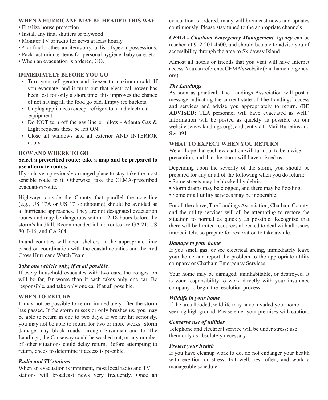#### **WHEN A HURRICANE MAY BE HEADED THIS WAY**

- Finalize house protection.
- Install any final shutters or plywood.
- Monitor TV or radio for news at least hourly.
- Pack final clothes and items on your list of special possessions.
- Pack last-minute items for personal hygiene, baby care, etc.
- When an evacuation is ordered, GO.

#### **IMMEDIATELY BEFORE YOU GO**

- Turn your refrigerator and freezer to maximum cold. If you evacuate, and it turns out that electrical power has been lost for only a short time, this improves the chance of not having all the food go bad. Empty ice buckets.
- Unplug appliances (except refrigerator) and electrical equipment.
- Do NOT turn off the gas line or pilots Atlanta Gas & Light requests these be left ON.
- Close all windows and all exterior AND INTERIOR doors.

#### **HOW AND WHERE TO GO**

#### **Select a prescribed route; take a map and be prepared to use alternate routes.**

If you have a previously-arranged place to stay, take the most sensible route to it. Otherwise, take the CEMA-prescribed evacuation route.

Highways outside the County that parallel the coastline (e.g., US 17A or US 17 southbound) should be avoided as a hurricane approaches. They are not designated evacuation routes and may be dangerous within 12-18 hours before the storm's landfall. Recommended inland routes are GA 21, US 80, I-16, and GA 204.

Inland counties will open shelters at the appropriate time based on coordination with the coastal counties and the Red Cross Hurricane Watch Team.

#### *Take one vehicle only, if at all possible.*

If every household evacuates with two cars, the congestion will be far, far worse than if each takes only one car. Be responsible, and take only one car if at all possible.

#### **WHEN TO RETURN**

It may not be possible to return immediately after the storm has passed. If the storm misses or only brushes us, you may be able to return in one to two days. If we are hit seriously, you may not be able to return for two or more weeks. Storm damage may block roads through Savannah and to The Landings, the Causeway could be washed out, or any number of other situations could delay return. Before attempting to return, check to determine if access is possible.

#### *Radio and TV stations*

When an evacuation is imminent, most local radio and TV stations will broadcast news very frequently. Once an evacuation is ordered, many will broadcast news and updates continuously. Please stay tuned to the appropriate channels.

*CEMA - Chatham Emergency Management Agency* can be reached at 912-201-4500, and should be able to advise you of accessibility through the area to Skidaway Island.

Almost all hotels or friends that you visit will have Internet access. You can reference CEMA's website (chathamemergency. org).

#### *The Landings*

As soon as practical, The Landings Association will post a message indicating the current state of The Landings' access and services and advise you appropriately to return. (**BE ADVISED:** TLA personnel will have evacuated as well.) Information will be posted as quickly as possible on our website (www.landings.org), and sent via E-Mail Bulletins and Swift911.

#### **WHAT TO EXPECT WHEN YOU RETURN**

We all hope that each evacuation will turn out to be a wise precaution, and that the storm will have missed us.

Depending upon the severity of the storm, you should be prepared for any or all of the following when you do return: • Some streets may be blocked by debris.

- Storm drains may be clogged, and there may be flooding.
- Some or all utility services may be inoperable.

For all the above, The Landings Association, Chatham County, and the utility services will all be attempting to restore the situation to normal as quickly as possible. Recognize that there will be limited resources allocated to deal with all issues immediately, so prepare for restoration to take awhile.

#### *Damage to your home*

If you smell gas, or see electrical arcing, immediately leave your home and report the problem to the appropriate utility company or Chatham Emergency Services.

Your home may be damaged, uninhabitable, or destroyed. It is your responsibility to work directly with your insurance company to begin the resolution process.

#### *Wildlife in your home*

If the area flooded, wildlife may have invaded your home seeking high ground. Please enter your premises with caution.

#### *Conserve use of utilities*

Telephone and electrical service will be under stress; use them only as absolutely necessary.

#### *Protect your health*

If you have cleanup work to do, do not endanger your health with exertion or stress. Eat well, rest often, and work a manageable schedule.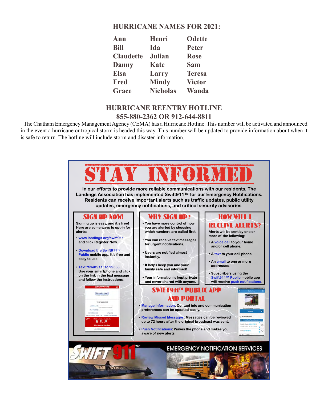## **HURRICANE NAMES FOR 2021:**

| Ann              | Henri           | <b>Odette</b> |
|------------------|-----------------|---------------|
| <b>Bill</b>      | Ida             | <b>Peter</b>  |
| <b>Claudette</b> | Julian          | <b>Rose</b>   |
| <b>Danny</b>     | Kate            | <b>Sam</b>    |
| <b>Elsa</b>      | Larry           | <b>Teresa</b> |
| <b>Fred</b>      | <b>Mindy</b>    | <b>Victor</b> |
| Grace            | <b>Nicholas</b> | Wanda         |

## **HURRICANE REENTRY HOTLINE 855-880-2362 OR 912-644-8811**

 The Chatham Emergency Management Agency (CEMA) has a Hurricane Hotline. This number will be activated and announced in the event a hurricane or tropical storm is headed this way. This number will be updated to provide information about when it is safe to return. The hotline will include storm and disaster information.